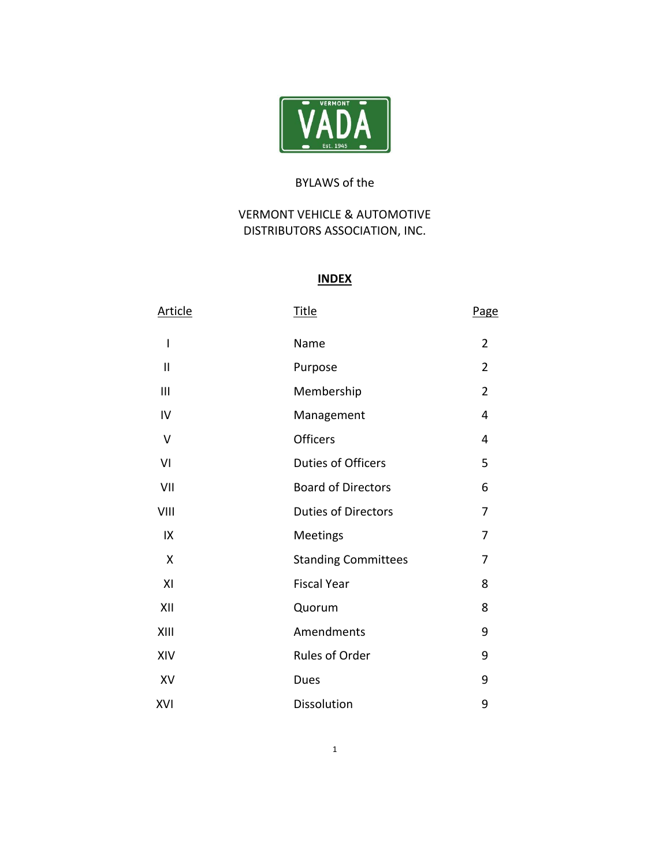

# BYLAWS of the

# VERMONT VEHICLE & AUTOMOTIVE DISTRIBUTORS ASSOCIATION, INC.

# **INDEX**

| <b>Article</b> | <u>Title</u>               | <b>Page</b>    |
|----------------|----------------------------|----------------|
| I              | Name                       | $\overline{2}$ |
| $\mathbf{II}$  | Purpose                    | $\overline{2}$ |
| III            | Membership                 | $\overline{2}$ |
| IV             | Management                 | 4              |
| $\mathsf{V}$   | Officers                   | 4              |
| VI             | <b>Duties of Officers</b>  | 5              |
| VII            | <b>Board of Directors</b>  | 6              |
| VIII           | <b>Duties of Directors</b> | 7              |
| IX             | <b>Meetings</b>            | 7              |
| X              | <b>Standing Committees</b> | 7              |
| XI             | <b>Fiscal Year</b>         | 8              |
| XII            | Quorum                     | 8              |
| XIII           | Amendments                 | 9              |
| XIV            | Rules of Order             | 9              |
| XV             | Dues                       | 9              |
| XVI            | Dissolution                | 9              |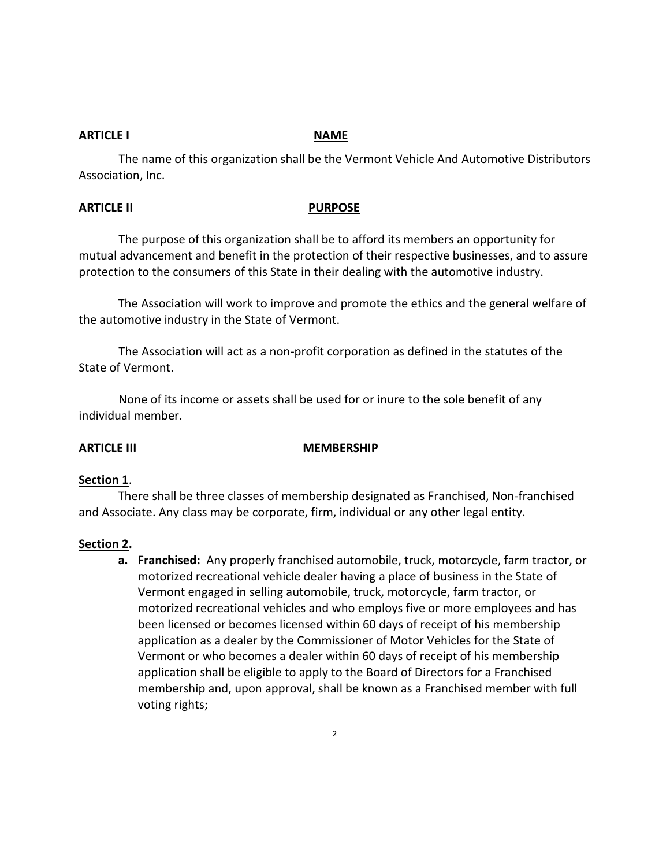# **ARTICLE I** NAME

The name of this organization shall be the Vermont Vehicle And Automotive Distributors Association, Inc.

## **ARTICLE II** PURPOSE

The purpose of this organization shall be to afford its members an opportunity for mutual advancement and benefit in the protection of their respective businesses, and to assure protection to the consumers of this State in their dealing with the automotive industry.

The Association will work to improve and promote the ethics and the general welfare of the automotive industry in the State of Vermont.

The Association will act as a non-profit corporation as defined in the statutes of the State of Vermont.

None of its income or assets shall be used for or inure to the sole benefit of any individual member.

# **ARTICLE III** MEMBERSHIP

### **Section 1**.

There shall be three classes of membership designated as Franchised, Non-franchised and Associate. Any class may be corporate, firm, individual or any other legal entity.

# **Section 2.**

**a. Franchised:** Any properly franchised automobile, truck, motorcycle, farm tractor, or motorized recreational vehicle dealer having a place of business in the State of Vermont engaged in selling automobile, truck, motorcycle, farm tractor, or motorized recreational vehicles and who employs five or more employees and has been licensed or becomes licensed within 60 days of receipt of his membership application as a dealer by the Commissioner of Motor Vehicles for the State of Vermont or who becomes a dealer within 60 days of receipt of his membership application shall be eligible to apply to the Board of Directors for a Franchised membership and, upon approval, shall be known as a Franchised member with full voting rights;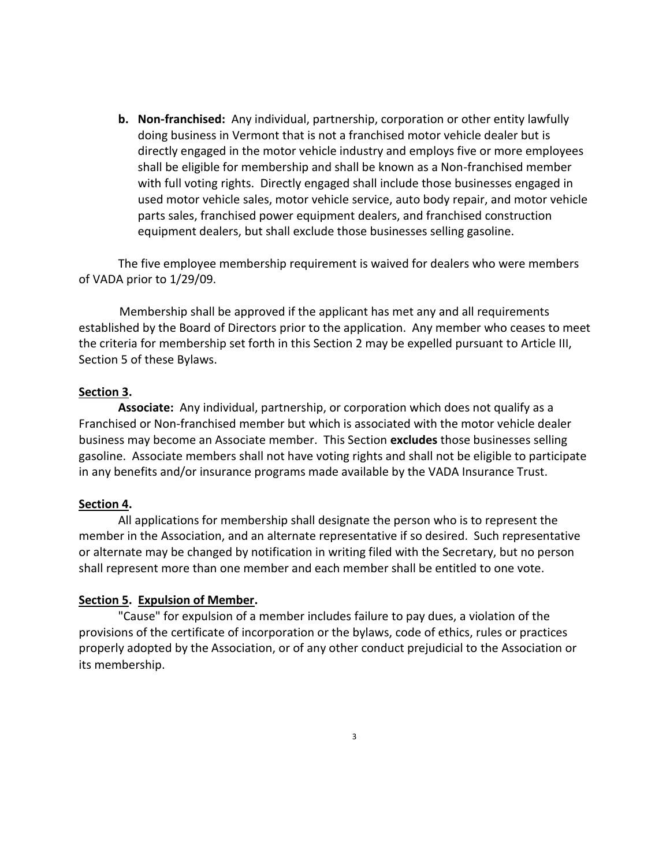**b. Non-franchised:** Any individual, partnership, corporation or other entity lawfully doing business in Vermont that is not a franchised motor vehicle dealer but is directly engaged in the motor vehicle industry and employs five or more employees shall be eligible for membership and shall be known as a Non-franchised member with full voting rights. Directly engaged shall include those businesses engaged in used motor vehicle sales, motor vehicle service, auto body repair, and motor vehicle parts sales, franchised power equipment dealers, and franchised construction equipment dealers, but shall exclude those businesses selling gasoline.

The five employee membership requirement is waived for dealers who were members of VADA prior to 1/29/09.

Membership shall be approved if the applicant has met any and all requirements established by the Board of Directors prior to the application. Any member who ceases to meet the criteria for membership set forth in this Section 2 may be expelled pursuant to Article III, Section 5 of these Bylaws.

# **Section 3.**

**Associate:** Any individual, partnership, or corporation which does not qualify as a Franchised or Non-franchised member but which is associated with the motor vehicle dealer business may become an Associate member. This Section **excludes** those businesses selling gasoline. Associate members shall not have voting rights and shall not be eligible to participate in any benefits and/or insurance programs made available by the VADA Insurance Trust.

# **Section 4.**

All applications for membership shall designate the person who is to represent the member in the Association, and an alternate representative if so desired. Such representative or alternate may be changed by notification in writing filed with the Secretary, but no person shall represent more than one member and each member shall be entitled to one vote.

# **Section 5. Expulsion of Member.**

"Cause" for expulsion of a member includes failure to pay dues, a violation of the provisions of the certificate of incorporation or the bylaws, code of ethics, rules or practices properly adopted by the Association, or of any other conduct prejudicial to the Association or its membership.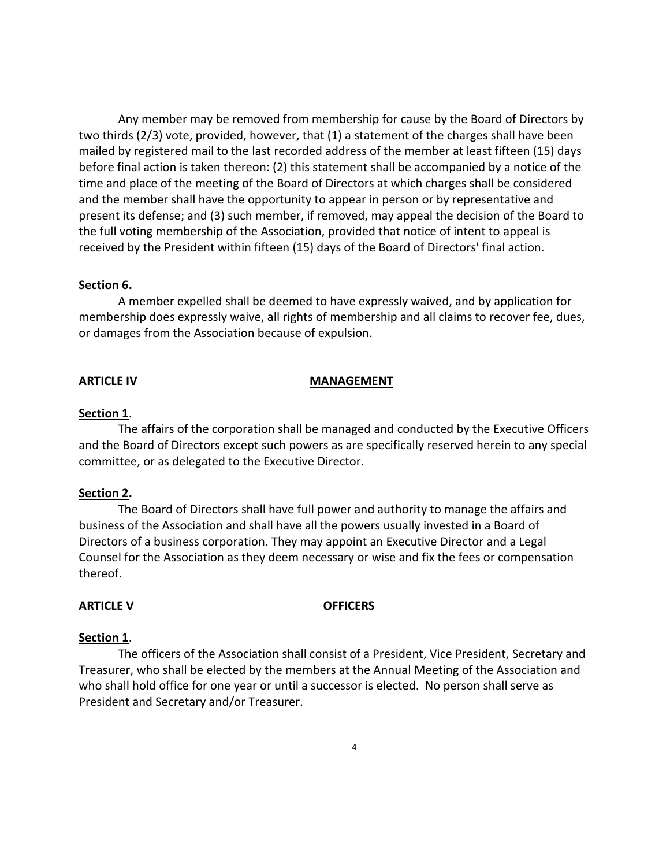Any member may be removed from membership for cause by the Board of Directors by two thirds (2/3) vote, provided, however, that (1) a statement of the charges shall have been mailed by registered mail to the last recorded address of the member at least fifteen (15) days before final action is taken thereon: (2) this statement shall be accompanied by a notice of the time and place of the meeting of the Board of Directors at which charges shall be considered and the member shall have the opportunity to appear in person or by representative and present its defense; and (3) such member, if removed, may appeal the decision of the Board to the full voting membership of the Association, provided that notice of intent to appeal is received by the President within fifteen (15) days of the Board of Directors' final action.

# **Section 6.**

A member expelled shall be deemed to have expressly waived, and by application for membership does expressly waive, all rights of membership and all claims to recover fee, dues, or damages from the Association because of expulsion.

### **ARTICLE IV MANAGEMENT**

### **Section 1**.

The affairs of the corporation shall be managed and conducted by the Executive Officers and the Board of Directors except such powers as are specifically reserved herein to any special committee, or as delegated to the Executive Director.

### **Section 2.**

The Board of Directors shall have full power and authority to manage the affairs and business of the Association and shall have all the powers usually invested in a Board of Directors of a business corporation. They may appoint an Executive Director and a Legal Counsel for the Association as they deem necessary or wise and fix the fees or compensation thereof.

### **ARTICLE V OFFICERS**

### **Section 1**.

The officers of the Association shall consist of a President, Vice President, Secretary and Treasurer, who shall be elected by the members at the Annual Meeting of the Association and who shall hold office for one year or until a successor is elected. No person shall serve as President and Secretary and/or Treasurer.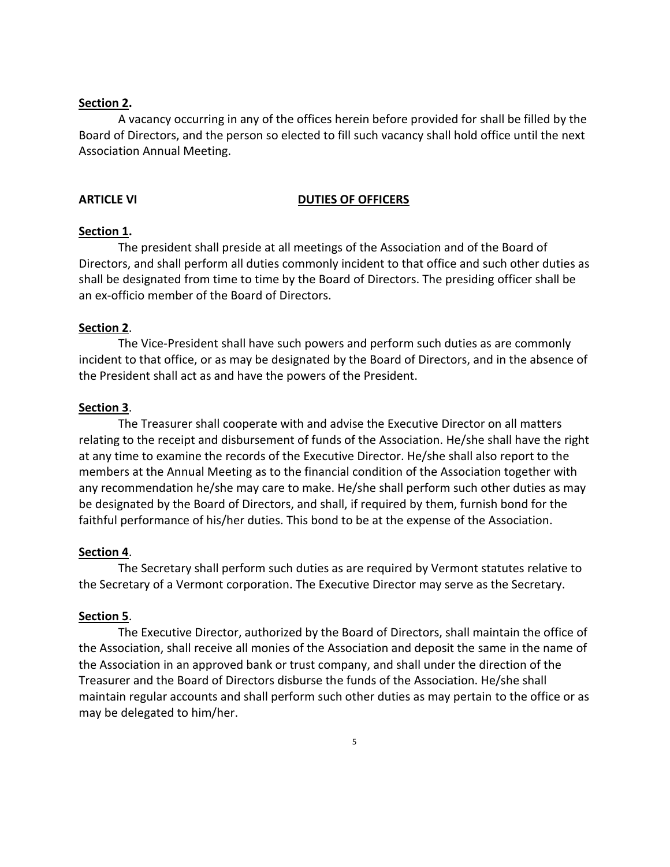# **Section 2.**

A vacancy occurring in any of the offices herein before provided for shall be filled by the Board of Directors, and the person so elected to fill such vacancy shall hold office until the next Association Annual Meeting.

### **ARTICLE VI** DUTIES OF OFFICERS

### **Section 1.**

The president shall preside at all meetings of the Association and of the Board of Directors, and shall perform all duties commonly incident to that office and such other duties as shall be designated from time to time by the Board of Directors. The presiding officer shall be an ex-officio member of the Board of Directors.

### **Section 2**.

The Vice-President shall have such powers and perform such duties as are commonly incident to that office, or as may be designated by the Board of Directors, and in the absence of the President shall act as and have the powers of the President.

### **Section 3**.

The Treasurer shall cooperate with and advise the Executive Director on all matters relating to the receipt and disbursement of funds of the Association. He/she shall have the right at any time to examine the records of the Executive Director. He/she shall also report to the members at the Annual Meeting as to the financial condition of the Association together with any recommendation he/she may care to make. He/she shall perform such other duties as may be designated by the Board of Directors, and shall, if required by them, furnish bond for the faithful performance of his/her duties. This bond to be at the expense of the Association.

### **Section 4**.

The Secretary shall perform such duties as are required by Vermont statutes relative to the Secretary of a Vermont corporation. The Executive Director may serve as the Secretary.

### **Section 5**.

The Executive Director, authorized by the Board of Directors, shall maintain the office of the Association, shall receive all monies of the Association and deposit the same in the name of the Association in an approved bank or trust company, and shall under the direction of the Treasurer and the Board of Directors disburse the funds of the Association. He/she shall maintain regular accounts and shall perform such other duties as may pertain to the office or as may be delegated to him/her.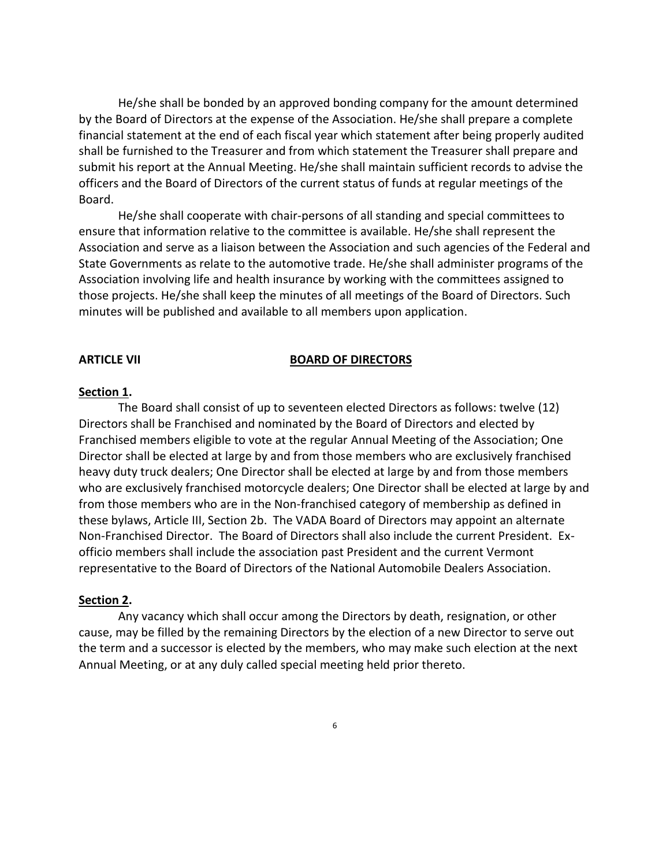He/she shall be bonded by an approved bonding company for the amount determined by the Board of Directors at the expense of the Association. He/she shall prepare a complete financial statement at the end of each fiscal year which statement after being properly audited shall be furnished to the Treasurer and from which statement the Treasurer shall prepare and submit his report at the Annual Meeting. He/she shall maintain sufficient records to advise the officers and the Board of Directors of the current status of funds at regular meetings of the Board.

He/she shall cooperate with chair-persons of all standing and special committees to ensure that information relative to the committee is available. He/she shall represent the Association and serve as a liaison between the Association and such agencies of the Federal and State Governments as relate to the automotive trade. He/she shall administer programs of the Association involving life and health insurance by working with the committees assigned to those projects. He/she shall keep the minutes of all meetings of the Board of Directors. Such minutes will be published and available to all members upon application.

### **ARTICLE VII** BOARD OF DIRECTORS

# **Section 1.**

The Board shall consist of up to seventeen elected Directors as follows: twelve (12) Directors shall be Franchised and nominated by the Board of Directors and elected by Franchised members eligible to vote at the regular Annual Meeting of the Association; One Director shall be elected at large by and from those members who are exclusively franchised heavy duty truck dealers; One Director shall be elected at large by and from those members who are exclusively franchised motorcycle dealers; One Director shall be elected at large by and from those members who are in the Non-franchised category of membership as defined in these bylaws, Article III, Section 2b. The VADA Board of Directors may appoint an alternate Non-Franchised Director. The Board of Directors shall also include the current President. Exofficio members shall include the association past President and the current Vermont representative to the Board of Directors of the National Automobile Dealers Association.

### **Section 2.**

Any vacancy which shall occur among the Directors by death, resignation, or other cause, may be filled by the remaining Directors by the election of a new Director to serve out the term and a successor is elected by the members, who may make such election at the next Annual Meeting, or at any duly called special meeting held prior thereto.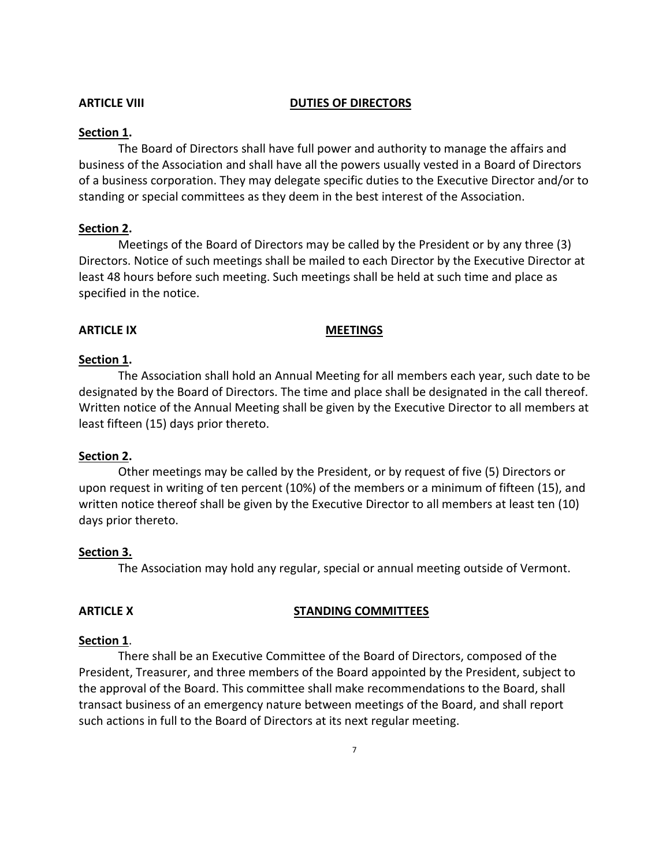### **ARTICLE VIII DUTIES OF DIRECTORS**

### **Section 1.**

The Board of Directors shall have full power and authority to manage the affairs and business of the Association and shall have all the powers usually vested in a Board of Directors of a business corporation. They may delegate specific duties to the Executive Director and/or to standing or special committees as they deem in the best interest of the Association.

### **Section 2.**

Meetings of the Board of Directors may be called by the President or by any three (3) Directors. Notice of such meetings shall be mailed to each Director by the Executive Director at least 48 hours before such meeting. Such meetings shall be held at such time and place as specified in the notice.

### ARTICLE IX **MEETINGS**

### **Section 1.**

The Association shall hold an Annual Meeting for all members each year, such date to be designated by the Board of Directors. The time and place shall be designated in the call thereof. Written notice of the Annual Meeting shall be given by the Executive Director to all members at least fifteen (15) days prior thereto.

### **Section 2.**

Other meetings may be called by the President, or by request of five (5) Directors or upon request in writing of ten percent (10%) of the members or a minimum of fifteen (15), and written notice thereof shall be given by the Executive Director to all members at least ten (10) days prior thereto.

### **Section 3.**

The Association may hold any regular, special or annual meeting outside of Vermont.

## ARTICLE X **STANDING COMMITTEES**

### **Section 1**.

There shall be an Executive Committee of the Board of Directors, composed of the President, Treasurer, and three members of the Board appointed by the President, subject to the approval of the Board. This committee shall make recommendations to the Board, shall transact business of an emergency nature between meetings of the Board, and shall report such actions in full to the Board of Directors at its next regular meeting.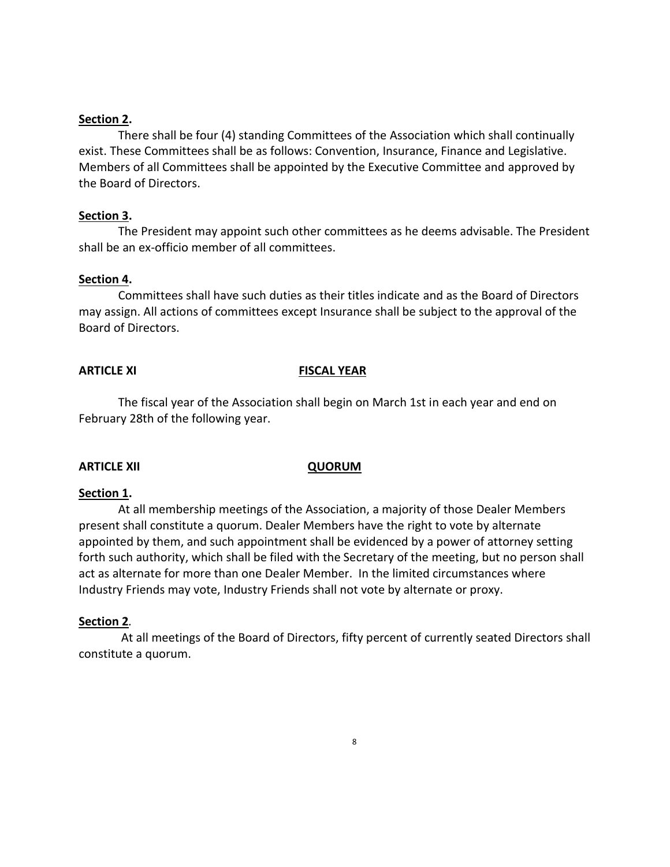## **Section 2.**

There shall be four (4) standing Committees of the Association which shall continually exist. These Committees shall be as follows: Convention, Insurance, Finance and Legislative. Members of all Committees shall be appointed by the Executive Committee and approved by the Board of Directors.

# **Section 3.**

The President may appoint such other committees as he deems advisable. The President shall be an ex-officio member of all committees.

### **Section 4.**

Committees shall have such duties as their titles indicate and as the Board of Directors may assign. All actions of committees except Insurance shall be subject to the approval of the Board of Directors.

### **ARTICLE XI** FISCAL YEAR

The fiscal year of the Association shall begin on March 1st in each year and end on February 28th of the following year.

### **ARTICLE XII QUORUM**

### **Section 1.**

At all membership meetings of the Association, a majority of those Dealer Members present shall constitute a quorum. Dealer Members have the right to vote by alternate appointed by them, and such appointment shall be evidenced by a power of attorney setting forth such authority, which shall be filed with the Secretary of the meeting, but no person shall act as alternate for more than one Dealer Member. In the limited circumstances where Industry Friends may vote, Industry Friends shall not vote by alternate or proxy.

# **Section 2***.*

At all meetings of the Board of Directors, fifty percent of currently seated Directors shall constitute a quorum.